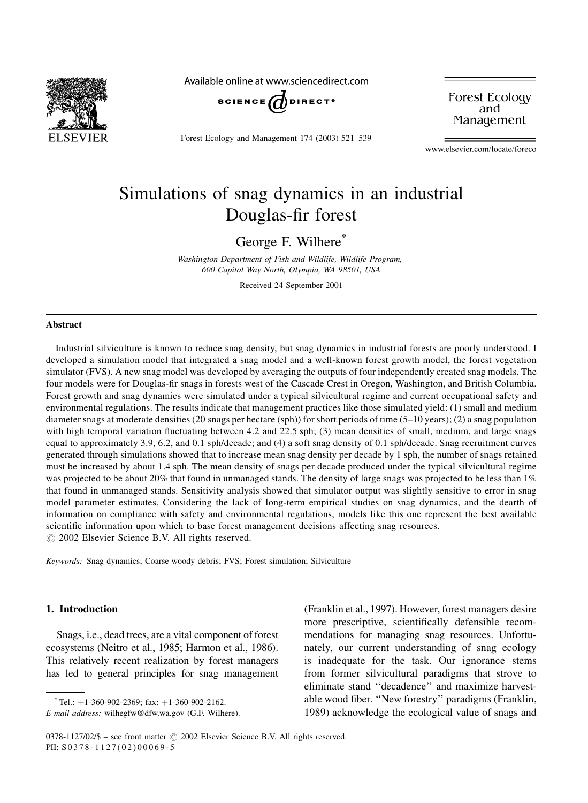

Available online at www.sciencedirect.com



Forest Ecology and Management 174 (2003) 521–539

Forest Ecology and Management

www.elsevier.com/locate/foreco

# Simulations of snag dynamics in an industrial Douglas-fir forest

George F. Wilhere\*

Washington Department of Fish and Wildlife, Wildlife Program, 600 Capitol Way North, Olympia, WA 98501, USA

Received 24 September 2001

#### Abstract

Industrial silviculture is known to reduce snag density, but snag dynamics in industrial forests are poorly understood. I developed a simulation model that integrated a snag model and a well-known forest growth model, the forest vegetation simulator (FVS). A new snag model was developed by averaging the outputs of four independently created snag models. The four models were for Douglas-fir snags in forests west of the Cascade Crest in Oregon, Washington, and British Columbia. Forest growth and snag dynamics were simulated under a typical silvicultural regime and current occupational safety and environmental regulations. The results indicate that management practices like those simulated yield: (1) small and medium diameter snags at moderate densities (20 snags per hectare (sph)) for short periods of time (5–10 years); (2) a snag population with high temporal variation fluctuating between 4.2 and 22.5 sph; (3) mean densities of small, medium, and large snags equal to approximately 3.9, 6.2, and 0.1 sph/decade; and (4) a soft snag density of 0.1 sph/decade. Snag recruitment curves generated through simulations showed that to increase mean snag density per decade by 1 sph, the number of snags retained must be increased by about 1.4 sph. The mean density of snags per decade produced under the typical silvicultural regime was projected to be about 20% that found in unmanaged stands. The density of large snags was projected to be less than 1% that found in unmanaged stands. Sensitivity analysis showed that simulator output was slightly sensitive to error in snag model parameter estimates. Considering the lack of long-term empirical studies on snag dynamics, and the dearth of information on compliance with safety and environmental regulations, models like this one represent the best available scientific information upon which to base forest management decisions affecting snag resources.  $\odot$  2002 Elsevier Science B.V. All rights reserved.

Keywords: Snag dynamics; Coarse woody debris; FVS; Forest simulation; Silviculture

## 1. Introduction

Snags, i.e., dead trees, are a vital component of forest ecosystems (Neitro et al., 1985; Harmon et al., 1986). This relatively recent realization by forest managers has led to general principles for snag management

 $*$  Tel.:  $+1-360-902-2369$ ; fax:  $+1-360-902-2162$ .

(Franklin et al., 1997). However, forest managers desire more prescriptive, scientifically defensible recommendations for managing snag resources. Unfortunately, our current understanding of snag ecology is inadequate for the task. Our ignorance stems from former silvicultural paradigms that strove to eliminate stand ''decadence'' and maximize harvestable wood fiber. ''New forestry'' paradigms (Franklin, 1989) acknowledge the ecological value of snags and

E-mail address: wilhegfw@dfw.wa.gov (G.F. Wilhere).

<sup>0378-1127/02/\$ –</sup> see front matter  $\odot$  2002 Elsevier Science B.V. All rights reserved. PII: S 0378-1127(02)00069-5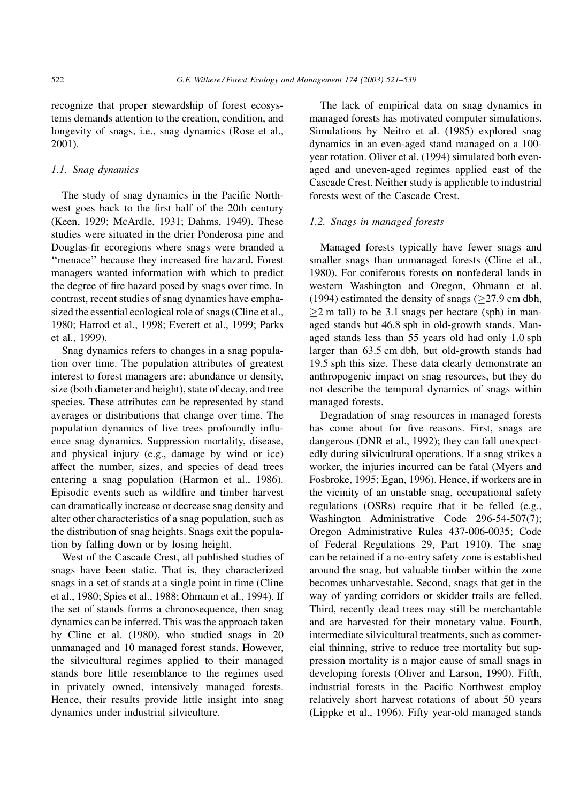recognize that proper stewardship of forest ecosystems demands attention to the creation, condition, and longevity of snags, i.e., snag dynamics (Rose et al., 2001).

## 1.1. Snag dynamics

The study of snag dynamics in the Pacific Northwest goes back to the first half of the 20th century (Keen, 1929; McArdle, 1931; Dahms, 1949). These studies were situated in the drier Ponderosa pine and Douglas-fir ecoregions where snags were branded a ''menace'' because they increased fire hazard. Forest managers wanted information with which to predict the degree of fire hazard posed by snags over time. In contrast, recent studies of snag dynamics have emphasized the essential ecological role of snags (Cline et al., 1980; Harrod et al., 1998; Everett et al., 1999; Parks et al., 1999).

Snag dynamics refers to changes in a snag population over time. The population attributes of greatest interest to forest managers are: abundance or density, size (both diameter and height), state of decay, and tree species. These attributes can be represented by stand averages or distributions that change over time. The population dynamics of live trees profoundly influence snag dynamics. Suppression mortality, disease, and physical injury (e.g., damage by wind or ice) affect the number, sizes, and species of dead trees entering a snag population (Harmon et al., 1986). Episodic events such as wildfire and timber harvest can dramatically increase or decrease snag density and alter other characteristics of a snag population, such as the distribution of snag heights. Snags exit the population by falling down or by losing height.

West of the Cascade Crest, all published studies of snags have been static. That is, they characterized snags in a set of stands at a single point in time (Cline et al., 1980; Spies et al., 1988; Ohmann et al., 1994). If the set of stands forms a chronosequence, then snag dynamics can be inferred. This was the approach taken by Cline et al. (1980), who studied snags in 20 unmanaged and 10 managed forest stands. However, the silvicultural regimes applied to their managed stands bore little resemblance to the regimes used in privately owned, intensively managed forests. Hence, their results provide little insight into snag dynamics under industrial silviculture.

The lack of empirical data on snag dynamics in managed forests has motivated computer simulations. Simulations by Neitro et al. (1985) explored snag dynamics in an even-aged stand managed on a 100 year rotation. Oliver et al. (1994) simulated both evenaged and uneven-aged regimes applied east of the Cascade Crest. Neither study is applicable to industrial forests west of the Cascade Crest.

#### 1.2. Snags in managed forests

Managed forests typically have fewer snags and smaller snags than unmanaged forests (Cline et al., 1980). For coniferous forests on nonfederal lands in western Washington and Oregon, Ohmann et al. (1994) estimated the density of snags ( $\geq$ 27.9 cm dbh,  $\geq$ 2 m tall) to be 3.1 snags per hectare (sph) in managed stands but 46.8 sph in old-growth stands. Managed stands less than 55 years old had only 1.0 sph larger than 63.5 cm dbh, but old-growth stands had 19.5 sph this size. These data clearly demonstrate an anthropogenic impact on snag resources, but they do not describe the temporal dynamics of snags within managed forests.

Degradation of snag resources in managed forests has come about for five reasons. First, snags are dangerous (DNR et al., 1992); they can fall unexpectedly during silvicultural operations. If a snag strikes a worker, the injuries incurred can be fatal (Myers and Fosbroke, 1995; Egan, 1996). Hence, if workers are in the vicinity of an unstable snag, occupational safety regulations (OSRs) require that it be felled (e.g., Washington Administrative Code 296-54-507(7); Oregon Administrative Rules 437-006-0035; Code of Federal Regulations 29, Part 1910). The snag can be retained if a no-entry safety zone is established around the snag, but valuable timber within the zone becomes unharvestable. Second, snags that get in the way of yarding corridors or skidder trails are felled. Third, recently dead trees may still be merchantable and are harvested for their monetary value. Fourth, intermediate silvicultural treatments, such as commercial thinning, strive to reduce tree mortality but suppression mortality is a major cause of small snags in developing forests (Oliver and Larson, 1990). Fifth, industrial forests in the Pacific Northwest employ relatively short harvest rotations of about 50 years (Lippke et al., 1996). Fifty year-old managed stands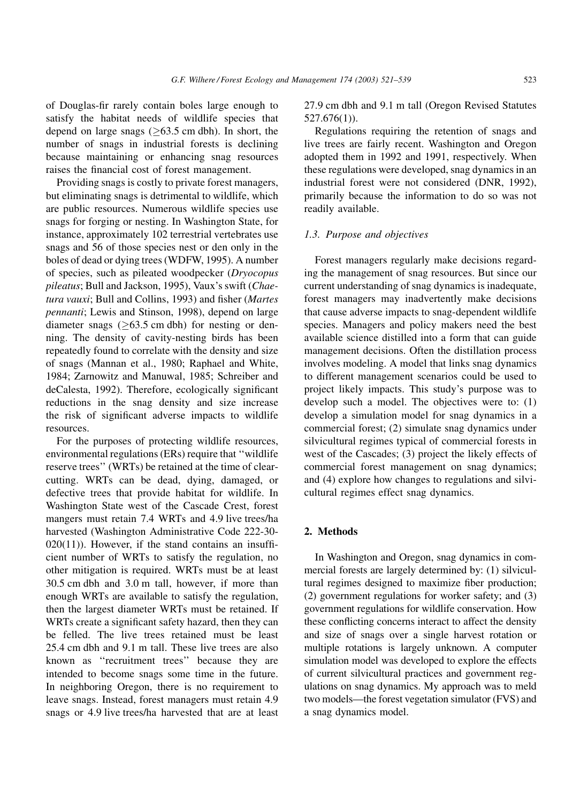of Douglas-fir rarely contain boles large enough to satisfy the habitat needs of wildlife species that depend on large snags ( $\geq 63.5$  cm dbh). In short, the number of snags in industrial forests is declining because maintaining or enhancing snag resources raises the financial cost of forest management.

Providing snags is costly to private forest managers, but eliminating snags is detrimental to wildlife, which are public resources. Numerous wildlife species use snags for forging or nesting. In Washington State, for instance, approximately 102 terrestrial vertebrates use snags and 56 of those species nest or den only in the boles of dead or dying trees (WDFW, 1995). A number of species, such as pileated woodpecker (Dryocopus pileatus; Bull and Jackson, 1995), Vaux's swift (Chaetura vauxi; Bull and Collins, 1993) and fisher (Martes pennanti; Lewis and Stinson, 1998), depend on large diameter snags  $( \ge 63.5 \text{ cm} \text{ dbh})$  for nesting or denning. The density of cavity-nesting birds has been repeatedly found to correlate with the density and size of snags (Mannan et al., 1980; Raphael and White, 1984; Zarnowitz and Manuwal, 1985; Schreiber and deCalesta, 1992). Therefore, ecologically significant reductions in the snag density and size increase the risk of significant adverse impacts to wildlife resources.

For the purposes of protecting wildlife resources, environmental regulations (ERs) require that ''wildlife reserve trees'' (WRTs) be retained at the time of clearcutting. WRTs can be dead, dying, damaged, or defective trees that provide habitat for wildlife. In Washington State west of the Cascade Crest, forest mangers must retain 7.4 WRTs and 4.9 live trees/ha harvested (Washington Administrative Code 222-30-  $020(11)$ ). However, if the stand contains an insufficient number of WRTs to satisfy the regulation, no other mitigation is required. WRTs must be at least 30.5 cm dbh and 3.0 m tall, however, if more than enough WRTs are available to satisfy the regulation, then the largest diameter WRTs must be retained. If WRTs create a significant safety hazard, then they can be felled. The live trees retained must be least 25.4 cm dbh and 9.1 m tall. These live trees are also known as ''recruitment trees'' because they are intended to become snags some time in the future. In neighboring Oregon, there is no requirement to leave snags. Instead, forest managers must retain 4.9 snags or 4.9 live trees/ha harvested that are at least 27.9 cm dbh and 9.1 m tall (Oregon Revised Statutes 527.676(1)).

Regulations requiring the retention of snags and live trees are fairly recent. Washington and Oregon adopted them in 1992 and 1991, respectively. When these regulations were developed, snag dynamics in an industrial forest were not considered (DNR, 1992), primarily because the information to do so was not readily available.

# 1.3. Purpose and objectives

Forest managers regularly make decisions regarding the management of snag resources. But since our current understanding of snag dynamics is inadequate, forest managers may inadvertently make decisions that cause adverse impacts to snag-dependent wildlife species. Managers and policy makers need the best available science distilled into a form that can guide management decisions. Often the distillation process involves modeling. A model that links snag dynamics to different management scenarios could be used to project likely impacts. This study's purpose was to develop such a model. The objectives were to: (1) develop a simulation model for snag dynamics in a commercial forest; (2) simulate snag dynamics under silvicultural regimes typical of commercial forests in west of the Cascades; (3) project the likely effects of commercial forest management on snag dynamics; and (4) explore how changes to regulations and silvicultural regimes effect snag dynamics.

# 2. Methods

In Washington and Oregon, snag dynamics in commercial forests are largely determined by: (1) silvicultural regimes designed to maximize fiber production; (2) government regulations for worker safety; and (3) government regulations for wildlife conservation. How these conflicting concerns interact to affect the density and size of snags over a single harvest rotation or multiple rotations is largely unknown. A computer simulation model was developed to explore the effects of current silvicultural practices and government regulations on snag dynamics. My approach was to meld two models—the forest vegetation simulator (FVS) and a snag dynamics model.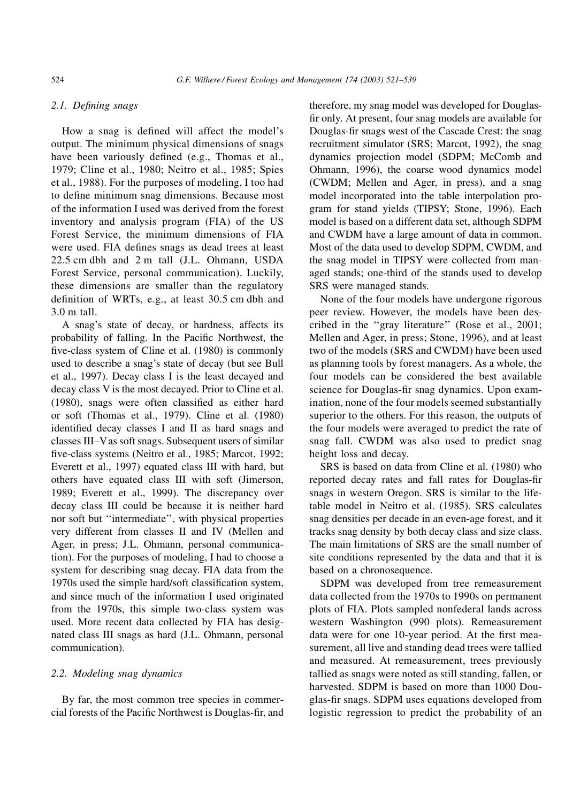# 2.1. Defining snags

How a snag is defined will affect the model's output. The minimum physical dimensions of snags have been variously defined (e.g., Thomas et al., 1979; Cline et al., 1980; Neitro et al., 1985; Spies et al., 1988). For the purposes of modeling, I too had to define minimum snag dimensions. Because most of the information I used was derived from the forest inventory and analysis program (FIA) of the US Forest Service, the minimum dimensions of FIA were used. FIA defines snags as dead trees at least 22.5 cm dbh and 2 m tall (J.L. Ohmann, USDA Forest Service, personal communication). Luckily, these dimensions are smaller than the regulatory definition of WRTs, e.g., at least 30.5 cm dbh and 3.0 m tall.

A snag's state of decay, or hardness, affects its probability of falling. In the Pacific Northwest, the five-class system of Cline et al. (1980) is commonly used to describe a snag's state of decay (but see Bull et al., 1997). Decay class I is the least decayed and decay class V is the most decayed. Prior to Cline et al. (1980), snags were often classified as either hard or soft (Thomas et al., 1979). Cline et al. (1980) identified decay classes I and II as hard snags and classes III–Vas soft snags. Subsequent users of similar five-class systems (Neitro et al., 1985; Marcot, 1992; Everett et al., 1997) equated class III with hard, but others have equated class III with soft (Jimerson, 1989; Everett et al., 1999). The discrepancy over decay class III could be because it is neither hard nor soft but ''intermediate'', with physical properties very different from classes II and IV (Mellen and Ager, in press; J.L. Ohmann, personal communication). For the purposes of modeling, I had to choose a system for describing snag decay. FIA data from the 1970s used the simple hard/soft classification system, and since much of the information I used originated from the 1970s, this simple two-class system was used. More recent data collected by FIA has designated class III snags as hard (J.L. Ohmann, personal communication).

#### 2.2. Modeling snag dynamics

By far, the most common tree species in commercial forests of the Pacific Northwest is Douglas-fir, and therefore, my snag model was developed for Douglasfir only. At present, four snag models are available for Douglas-fir snags west of the Cascade Crest: the snag recruitment simulator (SRS; Marcot, 1992), the snag dynamics projection model (SDPM; McComb and Ohmann, 1996), the coarse wood dynamics model (CWDM; Mellen and Ager, in press), and a snag model incorporated into the table interpolation program for stand yields (TIPSY; Stone, 1996). Each model is based on a different data set, although SDPM and CWDM have a large amount of data in common. Most of the data used to develop SDPM, CWDM, and the snag model in TIPSY were collected from managed stands; one-third of the stands used to develop SRS were managed stands.

None of the four models have undergone rigorous peer review. However, the models have been described in the ''gray literature'' (Rose et al., 2001; Mellen and Ager, in press; Stone, 1996), and at least two of the models (SRS and CWDM) have been used as planning tools by forest managers. As a whole, the four models can be considered the best available science for Douglas-fir snag dynamics. Upon examination, none of the four models seemed substantially superior to the others. For this reason, the outputs of the four models were averaged to predict the rate of snag fall. CWDM was also used to predict snag height loss and decay.

SRS is based on data from Cline et al. (1980) who reported decay rates and fall rates for Douglas-fir snags in western Oregon. SRS is similar to the lifetable model in Neitro et al. (1985). SRS calculates snag densities per decade in an even-age forest, and it tracks snag density by both decay class and size class. The main limitations of SRS are the small number of site conditions represented by the data and that it is based on a chronosequence.

SDPM was developed from tree remeasurement data collected from the 1970s to 1990s on permanent plots of FIA. Plots sampled nonfederal lands across western Washington (990 plots). Remeasurement data were for one 10-year period. At the first measurement, all live and standing dead trees were tallied and measured. At remeasurement, trees previously tallied as snags were noted as still standing, fallen, or harvested. SDPM is based on more than 1000 Douglas-fir snags. SDPM uses equations developed from logistic regression to predict the probability of an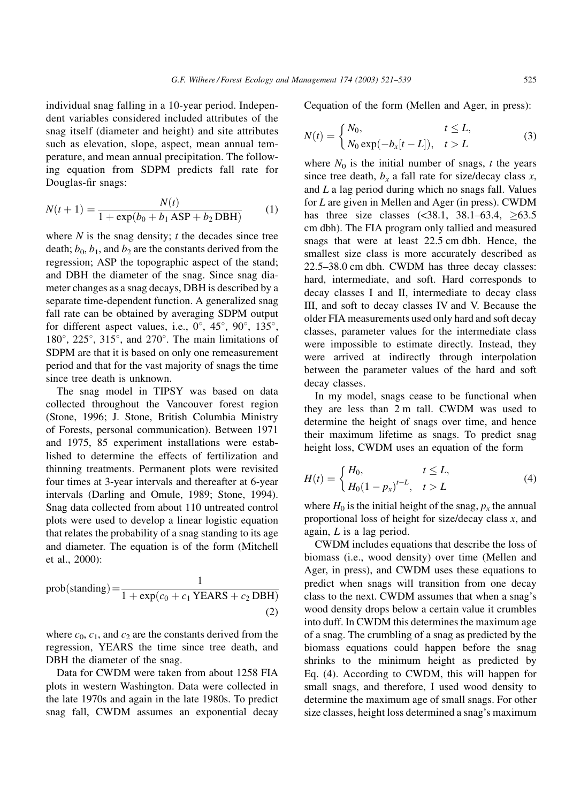individual snag falling in a 10-year period. Independent variables considered included attributes of the snag itself (diameter and height) and site attributes such as elevation, slope, aspect, mean annual temperature, and mean annual precipitation. The following equation from SDPM predicts fall rate for Douglas-fir snags:

$$
N(t+1) = \frac{N(t)}{1 + \exp(b_0 + b_1 \text{ ASP} + b_2 \text{DBH})}
$$
(1)

where  $N$  is the snag density;  $t$  the decades since tree death;  $b_0$ ,  $b_1$ , and  $b_2$  are the constants derived from the regression; ASP the topographic aspect of the stand; and DBH the diameter of the snag. Since snag diameter changes as a snag decays, DBH is described by a separate time-dependent function. A generalized snag fall rate can be obtained by averaging SDPM output for different aspect values, i.e.,  $0^{\circ}$ ,  $45^{\circ}$ ,  $90^{\circ}$ ,  $135^{\circ}$ ,  $180^\circ$ ,  $225^\circ$ ,  $315^\circ$ , and  $270^\circ$ . The main limitations of SDPM are that it is based on only one remeasurement period and that for the vast majority of snags the time since tree death is unknown.

The snag model in TIPSY was based on data collected throughout the Vancouver forest region (Stone, 1996; J. Stone, British Columbia Ministry of Forests, personal communication). Between 1971 and 1975, 85 experiment installations were established to determine the effects of fertilization and thinning treatments. Permanent plots were revisited four times at 3-year intervals and thereafter at 6-year intervals (Darling and Omule, 1989; Stone, 1994). Snag data collected from about 110 untreated control plots were used to develop a linear logistic equation that relates the probability of a snag standing to its age and diameter. The equation is of the form (Mitchell et al., 2000):

$$
prob(\text{standing}) = \frac{1}{1 + \exp(c_0 + c_1 \text{ YEARS} + c_2 \text{DBH})}
$$
\n(2)

where  $c_0$ ,  $c_1$ , and  $c_2$  are the constants derived from the regression, YEARS the time since tree death, and DBH the diameter of the snag.

Data for CWDM were taken from about 1258 FIA plots in western Washington. Data were collected in the late 1970s and again in the late 1980s. To predict snag fall, CWDM assumes an exponential decay

Cequation of the form (Mellen and Ager, in press):

$$
N(t) = \begin{cases} N_0, & t \le L, \\ N_0 \exp(-b_x[t-L]), & t > L \end{cases}
$$
 (3)

where  $N_0$  is the initial number of snags, t the years since tree death,  $b_x$  a fall rate for size/decay class x, and  $L$  a lag period during which no snags fall. Values for L are given in Mellen and Ager (in press). CWDM has three size classes  $(\leq 38.1, 38.1 - 63.4, \geq 63.5)$ cm dbh). The FIA program only tallied and measured snags that were at least 22.5 cm dbh. Hence, the smallest size class is more accurately described as 22.5–38.0 cm dbh. CWDM has three decay classes: hard, intermediate, and soft. Hard corresponds to decay classes I and II, intermediate to decay class III, and soft to decay classes IV and V. Because the older FIA measurements used only hard and soft decay classes, parameter values for the intermediate class were impossible to estimate directly. Instead, they were arrived at indirectly through interpolation between the parameter values of the hard and soft decay classes.

In my model, snags cease to be functional when they are less than 2 m tall. CWDM was used to determine the height of snags over time, and hence their maximum lifetime as snags. To predict snag height loss, CWDM uses an equation of the form

$$
H(t) = \begin{cases} H_0, & t \le L, \\ H_0(1 - p_x)^{t - L}, & t > L \end{cases}
$$
 (4)

where  $H_0$  is the initial height of the snag,  $p_x$  the annual proportional loss of height for size/decay class  $x$ , and again, L is a lag period.

CWDM includes equations that describe the loss of biomass (i.e., wood density) over time (Mellen and Ager, in press), and CWDM uses these equations to predict when snags will transition from one decay class to the next. CWDM assumes that when a snag's wood density drops below a certain value it crumbles into duff. In CWDM this determines the maximum age of a snag. The crumbling of a snag as predicted by the biomass equations could happen before the snag shrinks to the minimum height as predicted by Eq. (4). According to CWDM, this will happen for small snags, and therefore, I used wood density to determine the maximum age of small snags. For other size classes, height loss determined a snag's maximum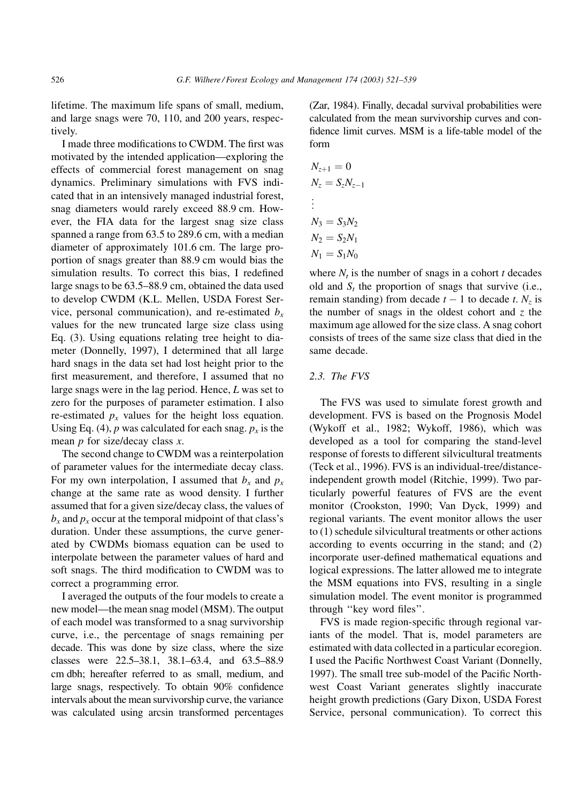lifetime. The maximum life spans of small, medium, and large snags were 70, 110, and 200 years, respectively.

I made three modifications to CWDM. The first was motivated by the intended application—exploring the effects of commercial forest management on snag dynamics. Preliminary simulations with FVS indicated that in an intensively managed industrial forest, snag diameters would rarely exceed 88.9 cm. However, the FIA data for the largest snag size class spanned a range from 63.5 to 289.6 cm, with a median diameter of approximately 101.6 cm. The large proportion of snags greater than 88.9 cm would bias the simulation results. To correct this bias, I redefined large snags to be 63.5–88.9 cm, obtained the data used to develop CWDM (K.L. Mellen, USDA Forest Service, personal communication), and re-estimated  $b_x$ values for the new truncated large size class using Eq. (3). Using equations relating tree height to diameter (Donnelly, 1997), I determined that all large hard snags in the data set had lost height prior to the first measurement, and therefore, I assumed that no large snags were in the lag period. Hence, L was set to zero for the purposes of parameter estimation. I also re-estimated  $p_x$  values for the height loss equation. Using Eq. (4), p was calculated for each snag.  $p_x$  is the mean  $p$  for size/decay class  $x$ .

The second change to CWDM was a reinterpolation of parameter values for the intermediate decay class. For my own interpolation, I assumed that  $b_x$  and  $p_x$ change at the same rate as wood density. I further assumed that for a given size/decay class, the values of  $b_x$  and  $p_x$  occur at the temporal midpoint of that class's duration. Under these assumptions, the curve generated by CWDMs biomass equation can be used to interpolate between the parameter values of hard and soft snags. The third modification to CWDM was to correct a programming error.

I averaged the outputs of the four models to create a new model—the mean snag model (MSM). The output of each model was transformed to a snag survivorship curve, i.e., the percentage of snags remaining per decade. This was done by size class, where the size classes were 22.5–38.1, 38.1–63.4, and 63.5–88.9 cm dbh; hereafter referred to as small, medium, and large snags, respectively. To obtain 90% confidence intervals about the mean survivorship curve, the variance was calculated using arcsin transformed percentages (Zar, 1984). Finally, decadal survival probabilities were calculated from the mean survivorship curves and confidence limit curves. MSM is a life-table model of the form

$$
N_{z+1} = 0
$$
  
\n
$$
N_z = S_z N_{z-1}
$$
  
\n
$$
\vdots
$$
  
\n
$$
N_3 = S_3 N_2
$$
  
\n
$$
N_2 = S_2 N_1
$$
  
\n
$$
N_1 = S_1 N_0
$$

where  $N_t$  is the number of snags in a cohort t decades old and  $S_t$  the proportion of snags that survive (i.e., remain standing) from decade  $t - 1$  to decade t.  $N_z$  is the number of snags in the oldest cohort and  $z$  the maximum age allowed for the size class. A snag cohort consists of trees of the same size class that died in the same decade.

## 2.3. The FVS

The FVS was used to simulate forest growth and development. FVS is based on the Prognosis Model (Wykoff et al., 1982; Wykoff, 1986), which was developed as a tool for comparing the stand-level response of forests to different silvicultural treatments (Teck et al., 1996). FVS is an individual-tree/distanceindependent growth model (Ritchie, 1999). Two particularly powerful features of FVS are the event monitor (Crookston, 1990; Van Dyck, 1999) and regional variants. The event monitor allows the user to (1) schedule silvicultural treatments or other actions according to events occurring in the stand; and (2) incorporate user-defined mathematical equations and logical expressions. The latter allowed me to integrate the MSM equations into FVS, resulting in a single simulation model. The event monitor is programmed through ''key word files''.

FVS is made region-specific through regional variants of the model. That is, model parameters are estimated with data collected in a particular ecoregion. I used the Pacific Northwest Coast Variant (Donnelly, 1997). The small tree sub-model of the Pacific Northwest Coast Variant generates slightly inaccurate height growth predictions (Gary Dixon, USDA Forest Service, personal communication). To correct this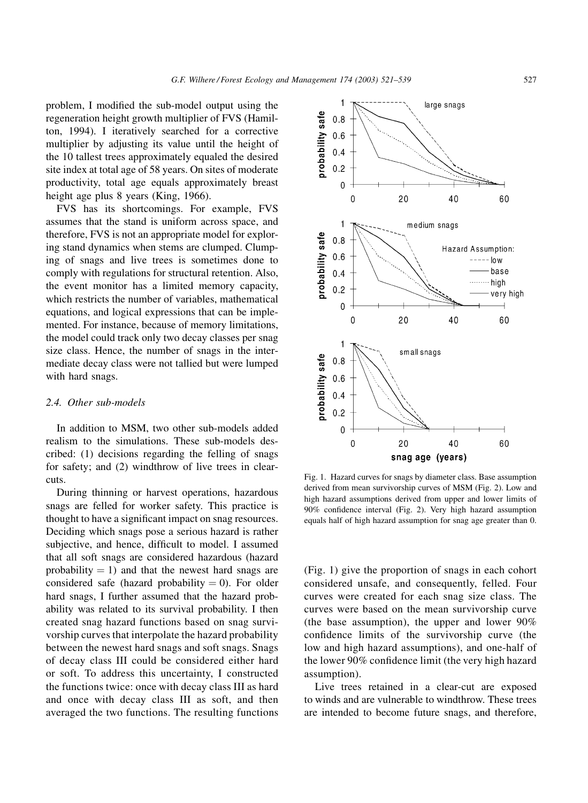problem, I modified the sub-model output using the regeneration height growth multiplier of FVS (Hamilton, 1994). I iteratively searched for a corrective multiplier by adjusting its value until the height of the 10 tallest trees approximately equaled the desired site index at total age of 58 years. On sites of moderate productivity, total age equals approximately breast height age plus 8 years (King, 1966).

FVS has its shortcomings. For example, FVS assumes that the stand is uniform across space, and therefore, FVS is not an appropriate model for exploring stand dynamics when stems are clumped. Clumping of snags and live trees is sometimes done to comply with regulations for structural retention. Also, the event monitor has a limited memory capacity, which restricts the number of variables, mathematical equations, and logical expressions that can be implemented. For instance, because of memory limitations, the model could track only two decay classes per snag size class. Hence, the number of snags in the intermediate decay class were not tallied but were lumped with hard snags.

## 2.4. Other sub-models

In addition to MSM, two other sub-models added realism to the simulations. These sub-models described: (1) decisions regarding the felling of snags for safety; and (2) windthrow of live trees in clearcuts.

During thinning or harvest operations, hazardous snags are felled for worker safety. This practice is thought to have a significant impact on snag resources. Deciding which snags pose a serious hazard is rather subjective, and hence, difficult to model. I assumed that all soft snags are considered hazardous (hazard probability  $= 1$ ) and that the newest hard snags are considered safe (hazard probability  $= 0$ ). For older hard snags, I further assumed that the hazard probability was related to its survival probability. I then created snag hazard functions based on snag survivorship curves that interpolate the hazard probability between the newest hard snags and soft snags. Snags of decay class III could be considered either hard or soft. To address this uncertainty, I constructed the functions twice: once with decay class III as hard and once with decay class III as soft, and then averaged the two functions. The resulting functions



Fig. 1. Hazard curves for snags by diameter class. Base assumption derived from mean survivorship curves of MSM (Fig. 2). Low and high hazard assumptions derived from upper and lower limits of 90% confidence interval (Fig. 2). Very high hazard assumption equals half of high hazard assumption for snag age greater than 0.

(Fig. 1) give the proportion of snags in each cohort considered unsafe, and consequently, felled. Four curves were created for each snag size class. The curves were based on the mean survivorship curve (the base assumption), the upper and lower 90% confidence limits of the survivorship curve (the low and high hazard assumptions), and one-half of the lower 90% confidence limit (the very high hazard assumption).

Live trees retained in a clear-cut are exposed to winds and are vulnerable to windthrow. These trees are intended to become future snags, and therefore,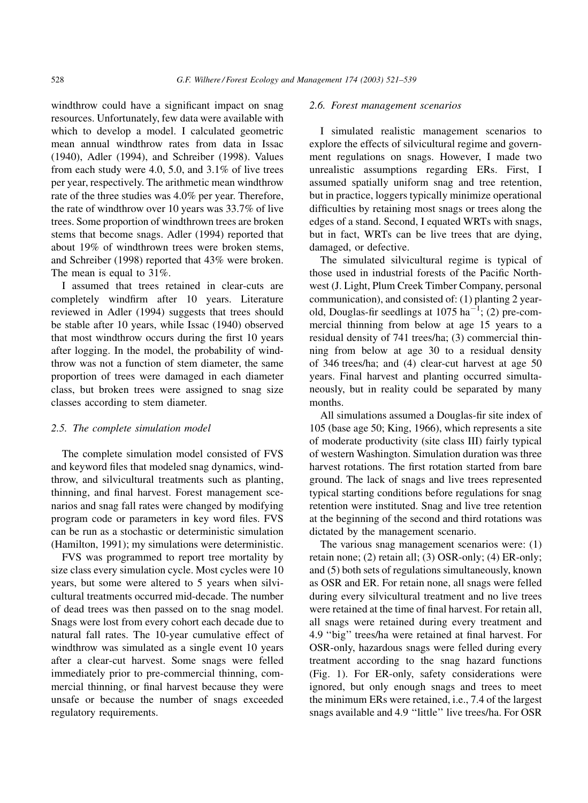windthrow could have a significant impact on snag resources. Unfortunately, few data were available with which to develop a model. I calculated geometric mean annual windthrow rates from data in Issac (1940), Adler (1994), and Schreiber (1998). Values from each study were 4.0, 5.0, and 3.1% of live trees per year, respectively. The arithmetic mean windthrow rate of the three studies was 4.0% per year. Therefore, the rate of windthrow over 10 years was 33.7% of live trees. Some proportion of windthrown trees are broken stems that become snags. Adler (1994) reported that about 19% of windthrown trees were broken stems, and Schreiber (1998) reported that 43% were broken. The mean is equal to 31%.

I assumed that trees retained in clear-cuts are completely windfirm after 10 years. Literature reviewed in Adler (1994) suggests that trees should be stable after 10 years, while Issac (1940) observed that most windthrow occurs during the first 10 years after logging. In the model, the probability of windthrow was not a function of stem diameter, the same proportion of trees were damaged in each diameter class, but broken trees were assigned to snag size classes according to stem diameter.

## 2.5. The complete simulation model

The complete simulation model consisted of FVS and keyword files that modeled snag dynamics, windthrow, and silvicultural treatments such as planting, thinning, and final harvest. Forest management scenarios and snag fall rates were changed by modifying program code or parameters in key word files. FVS can be run as a stochastic or deterministic simulation (Hamilton, 1991); my simulations were deterministic.

FVS was programmed to report tree mortality by size class every simulation cycle. Most cycles were 10 years, but some were altered to 5 years when silvicultural treatments occurred mid-decade. The number of dead trees was then passed on to the snag model. Snags were lost from every cohort each decade due to natural fall rates. The 10-year cumulative effect of windthrow was simulated as a single event 10 years after a clear-cut harvest. Some snags were felled immediately prior to pre-commercial thinning, commercial thinning, or final harvest because they were unsafe or because the number of snags exceeded regulatory requirements.

#### 2.6. Forest management scenarios

I simulated realistic management scenarios to explore the effects of silvicultural regime and government regulations on snags. However, I made two unrealistic assumptions regarding ERs. First, I assumed spatially uniform snag and tree retention, but in practice, loggers typically minimize operational difficulties by retaining most snags or trees along the edges of a stand. Second, I equated WRTs with snags, but in fact, WRTs can be live trees that are dying, damaged, or defective.

The simulated silvicultural regime is typical of those used in industrial forests of the Pacific Northwest (J. Light, Plum Creek Timber Company, personal communication), and consisted of: (1) planting 2 yearold, Douglas-fir seedlings at  $1075$  ha<sup>-1</sup>; (2) pre-commercial thinning from below at age 15 years to a residual density of 741 trees/ha; (3) commercial thinning from below at age 30 to a residual density of 346 trees/ha; and (4) clear-cut harvest at age 50 years. Final harvest and planting occurred simultaneously, but in reality could be separated by many months.

All simulations assumed a Douglas-fir site index of 105 (base age 50; King, 1966), which represents a site of moderate productivity (site class III) fairly typical of western Washington. Simulation duration was three harvest rotations. The first rotation started from bare ground. The lack of snags and live trees represented typical starting conditions before regulations for snag retention were instituted. Snag and live tree retention at the beginning of the second and third rotations was dictated by the management scenario.

The various snag management scenarios were: (1) retain none; (2) retain all; (3) OSR-only; (4) ER-only; and (5) both sets of regulations simultaneously, known as OSR and ER. For retain none, all snags were felled during every silvicultural treatment and no live trees were retained at the time of final harvest. For retain all, all snags were retained during every treatment and 4.9 ''big'' trees/ha were retained at final harvest. For OSR-only, hazardous snags were felled during every treatment according to the snag hazard functions (Fig. 1). For ER-only, safety considerations were ignored, but only enough snags and trees to meet the minimum ERs were retained, i.e., 7.4 of the largest snags available and 4.9 ''little'' live trees/ha. For OSR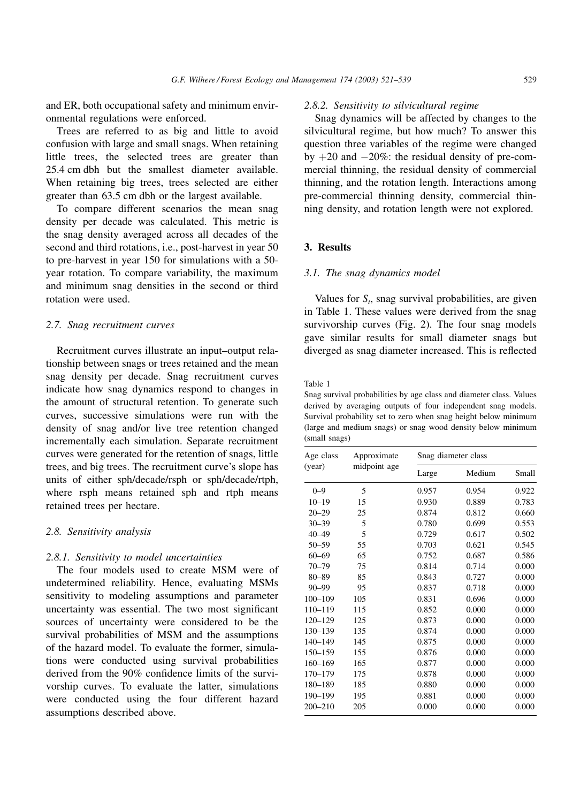and ER, both occupational safety and minimum environmental regulations were enforced.

Trees are referred to as big and little to avoid confusion with large and small snags. When retaining little trees, the selected trees are greater than 25.4 cm dbh but the smallest diameter available. When retaining big trees, trees selected are either greater than 63.5 cm dbh or the largest available.

To compare different scenarios the mean snag density per decade was calculated. This metric is the snag density averaged across all decades of the second and third rotations, i.e., post-harvest in year 50 to pre-harvest in year 150 for simulations with a 50 year rotation. To compare variability, the maximum and minimum snag densities in the second or third rotation were used.

## 2.7. Snag recruitment curves

Recruitment curves illustrate an input–output relationship between snags or trees retained and the mean snag density per decade. Snag recruitment curves indicate how snag dynamics respond to changes in the amount of structural retention. To generate such curves, successive simulations were run with the density of snag and/or live tree retention changed incrementally each simulation. Separate recruitment curves were generated for the retention of snags, little trees, and big trees. The recruitment curve's slope has units of either sph/decade/rsph or sph/decade/rtph, where rsph means retained sph and rtph means retained trees per hectare.

#### 2.8. Sensitivity analysis

## 2.8.1. Sensitivity to model uncertainties

The four models used to create MSM were of undetermined reliability. Hence, evaluating MSMs sensitivity to modeling assumptions and parameter uncertainty was essential. The two most significant sources of uncertainty were considered to be the survival probabilities of MSM and the assumptions of the hazard model. To evaluate the former, simulations were conducted using survival probabilities derived from the 90% confidence limits of the survivorship curves. To evaluate the latter, simulations were conducted using the four different hazard assumptions described above.

### 2.8.2. Sensitivity to silvicultural regime

Snag dynamics will be affected by changes to the silvicultural regime, but how much? To answer this question three variables of the regime were changed by  $+20$  and  $-20\%$ : the residual density of pre-commercial thinning, the residual density of commercial thinning, and the rotation length. Interactions among pre-commercial thinning density, commercial thinning density, and rotation length were not explored.

# 3. Results

## 3.1. The snag dynamics model

Values for  $S_t$ , snag survival probabilities, are given in Table 1. These values were derived from the snag survivorship curves (Fig. 2). The four snag models gave similar results for small diameter snags but diverged as snag diameter increased. This is reflected

Table 1

Snag survival probabilities by age class and diameter class. Values derived by averaging outputs of four independent snag models. Survival probability set to zero when snag height below minimum (large and medium snags) or snag wood density below minimum (small snags)

| Age class<br>(year) | Approximate  | Snag diameter class |        |       |  |
|---------------------|--------------|---------------------|--------|-------|--|
|                     | midpoint age | Large               | Medium | Small |  |
| $0 - 9$             | 5            | 0.957               | 0.954  | 0.922 |  |
| $10 - 19$           | 15           | 0.930               | 0.889  | 0.783 |  |
| $20 - 29$           | 25           | 0.874               | 0.812  | 0.660 |  |
| $30 - 39$           | 5            | 0.780               | 0.699  | 0.553 |  |
| $40 - 49$           | 5            | 0.729               | 0.617  | 0.502 |  |
| $50 - 59$           | 55           | 0.703               | 0.621  | 0.545 |  |
| $60 - 69$           | 65           | 0.752               | 0.687  | 0.586 |  |
| $70 - 79$           | 75           | 0.814               | 0.714  | 0.000 |  |
| $80 - 89$           | 85           | 0.843               | 0.727  | 0.000 |  |
| $90 - 99$           | 95           | 0.837               | 0.718  | 0.000 |  |
| $100 - 109$         | 105          | 0.831               | 0.696  | 0.000 |  |
| 110-119             | 115          | 0.852               | 0.000  | 0.000 |  |
| 120-129             | 125          | 0.873               | 0.000  | 0.000 |  |
| 130-139             | 135          | 0.874               | 0.000  | 0.000 |  |
| $140 - 149$         | 145          | 0.875               | 0.000  | 0.000 |  |
| 150-159             | 155          | 0.876               | 0.000  | 0.000 |  |
| $160 - 169$         | 165          | 0.877               | 0.000  | 0.000 |  |
| 170-179             | 175          | 0.878               | 0.000  | 0.000 |  |
| 180-189             | 185          | 0.880               | 0.000  | 0.000 |  |
| 190-199             | 195          | 0.881               | 0.000  | 0.000 |  |
| $200 - 210$         | 205          | 0.000               | 0.000  | 0.000 |  |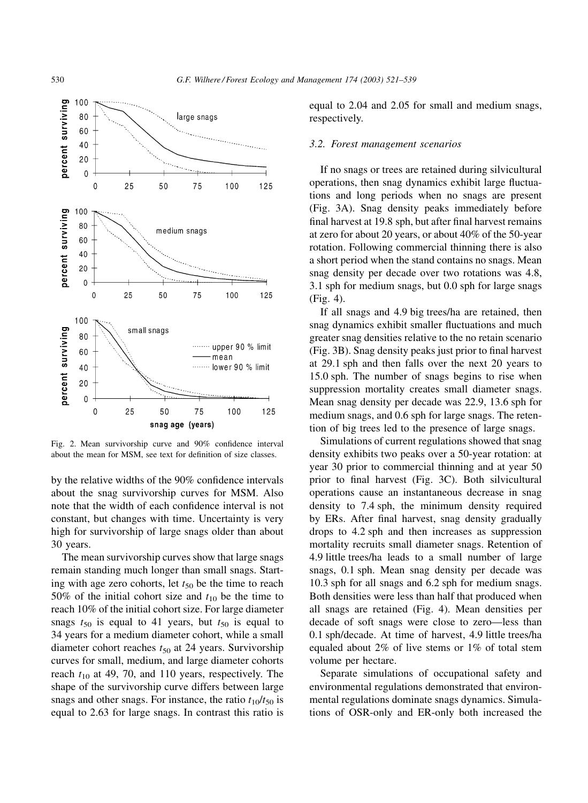

Fig. 2. Mean survivorship curve and 90% confidence interval about the mean for MSM, see text for definition of size classes.

by the relative widths of the 90% confidence intervals about the snag survivorship curves for MSM. Also note that the width of each confidence interval is not constant, but changes with time. Uncertainty is very high for survivorship of large snags older than about 30 years.

The mean survivorship curves show that large snags remain standing much longer than small snags. Starting with age zero cohorts, let  $t_{50}$  be the time to reach 50% of the initial cohort size and  $t_{10}$  be the time to reach 10% of the initial cohort size. For large diameter snags  $t_{50}$  is equal to 41 years, but  $t_{50}$  is equal to 34 years for a medium diameter cohort, while a small diameter cohort reaches  $t_{50}$  at 24 years. Survivorship curves for small, medium, and large diameter cohorts reach  $t_{10}$  at 49, 70, and 110 years, respectively. The shape of the survivorship curve differs between large snags and other snags. For instance, the ratio  $t_{10}/t_{50}$  is equal to 2.63 for large snags. In contrast this ratio is equal to 2.04 and 2.05 for small and medium snags, respectively.

#### 3.2. Forest management scenarios

If no snags or trees are retained during silvicultural operations, then snag dynamics exhibit large fluctuations and long periods when no snags are present (Fig. 3A). Snag density peaks immediately before final harvest at 19.8 sph, but after final harvest remains at zero for about 20 years, or about 40% of the 50-year rotation. Following commercial thinning there is also a short period when the stand contains no snags. Mean snag density per decade over two rotations was 4.8, 3.1 sph for medium snags, but 0.0 sph for large snags (Fig. 4).

If all snags and 4.9 big trees/ha are retained, then snag dynamics exhibit smaller fluctuations and much greater snag densities relative to the no retain scenario (Fig. 3B). Snag density peaks just prior to final harvest at 29.1 sph and then falls over the next 20 years to 15.0 sph. The number of snags begins to rise when suppression mortality creates small diameter snags. Mean snag density per decade was 22.9, 13.6 sph for medium snags, and 0.6 sph for large snags. The retention of big trees led to the presence of large snags.

Simulations of current regulations showed that snag density exhibits two peaks over a 50-year rotation: at year 30 prior to commercial thinning and at year 50 prior to final harvest (Fig. 3C). Both silvicultural operations cause an instantaneous decrease in snag density to 7.4 sph, the minimum density required by ERs. After final harvest, snag density gradually drops to 4.2 sph and then increases as suppression mortality recruits small diameter snags. Retention of 4.9 little trees/ha leads to a small number of large snags, 0.1 sph. Mean snag density per decade was 10.3 sph for all snags and 6.2 sph for medium snags. Both densities were less than half that produced when all snags are retained (Fig. 4). Mean densities per decade of soft snags were close to zero—less than 0.1 sph/decade. At time of harvest, 4.9 little trees/ha equaled about 2% of live stems or 1% of total stem volume per hectare.

Separate simulations of occupational safety and environmental regulations demonstrated that environmental regulations dominate snags dynamics. Simulations of OSR-only and ER-only both increased the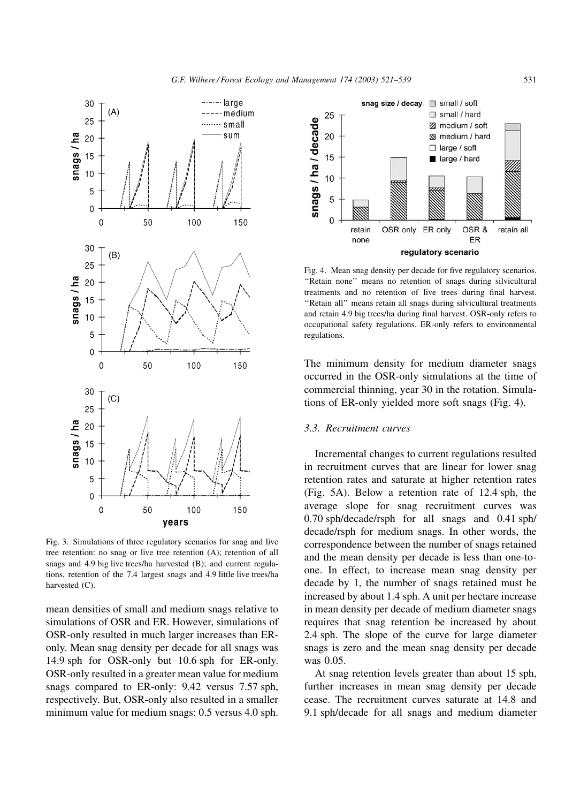

Fig. 3. Simulations of three regulatory scenarios for snag and live tree retention: no snag or live tree retention (A); retention of all snags and 4.9 big live trees/ha harvested (B); and current regulations, retention of the 7.4 largest snags and 4.9 little live trees/ha harvested (C).

mean densities of small and medium snags relative to simulations of OSR and ER. However, simulations of OSR-only resulted in much larger increases than ERonly. Mean snag density per decade for all snags was 14.9 sph for OSR-only but 10.6 sph for ER-only. OSR-only resulted in a greater mean value for medium snags compared to ER-only: 9.42 versus 7.57 sph, respectively. But, OSR-only also resulted in a smaller minimum value for medium snags: 0.5 versus 4.0 sph.



Fig. 4. Mean snag density per decade for five regulatory scenarios. ''Retain none'' means no retention of snags during silvicultural treatments and no retention of live trees during final harvest. ''Retain all'' means retain all snags during silvicultural treatments and retain 4.9 big trees/ha during final harvest. OSR-only refers to occupational safety regulations. ER-only refers to environmental regulations.

The minimum density for medium diameter snags occurred in the OSR-only simulations at the time of commercial thinning, year 30 in the rotation. Simulations of ER-only yielded more soft snags (Fig. 4).

## 3.3. Recruitment curves

Incremental changes to current regulations resulted in recruitment curves that are linear for lower snag retention rates and saturate at higher retention rates (Fig. 5A). Below a retention rate of 12.4 sph, the average slope for snag recruitment curves was 0.70 sph/decade/rsph for all snags and 0.41 sph/ decade/rsph for medium snags. In other words, the correspondence between the number of snags retained and the mean density per decade is less than one-toone. In effect, to increase mean snag density per decade by 1, the number of snags retained must be increased by about 1.4 sph. A unit per hectare increase in mean density per decade of medium diameter snags requires that snag retention be increased by about 2.4 sph. The slope of the curve for large diameter snags is zero and the mean snag density per decade was 0.05.

At snag retention levels greater than about 15 sph, further increases in mean snag density per decade cease. The recruitment curves saturate at 14.8 and 9.1 sph/decade for all snags and medium diameter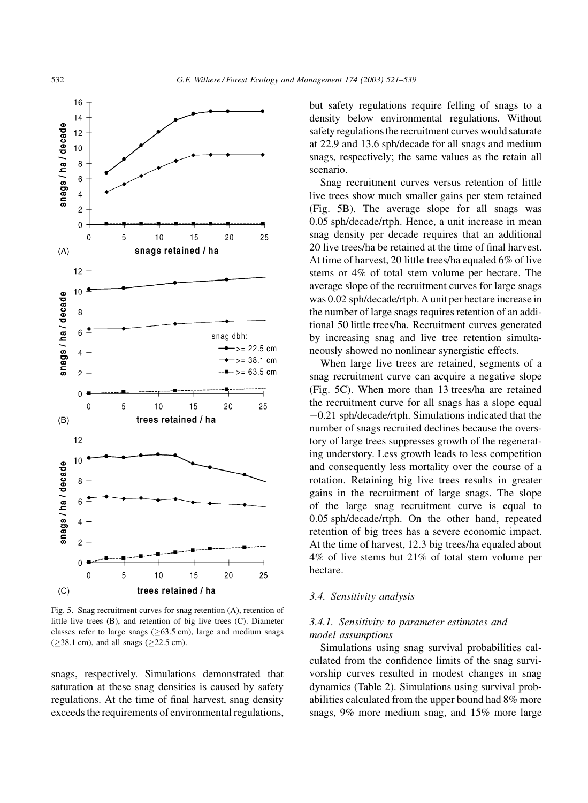

Fig. 5. Snag recruitment curves for snag retention (A), retention of little live trees (B), and retention of big live trees (C). Diameter classes refer to large snags  $(\geq 63.5 \text{ cm})$ , large and medium snags  $(\geq 38.1$  cm), and all snags ( $\geq 22.5$  cm).

snags, respectively. Simulations demonstrated that saturation at these snag densities is caused by safety regulations. At the time of final harvest, snag density exceeds the requirements of environmental regulations, but safety regulations require felling of snags to a density below environmental regulations. Without safety regulations the recruitment curves would saturate at 22.9 and 13.6 sph/decade for all snags and medium snags, respectively; the same values as the retain all scenario.

Snag recruitment curves versus retention of little live trees show much smaller gains per stem retained (Fig. 5B). The average slope for all snags was 0.05 sph/decade/rtph. Hence, a unit increase in mean snag density per decade requires that an additional 20 live trees/ha be retained at the time of final harvest. At time of harvest, 20 little trees/ha equaled 6% of live stems or 4% of total stem volume per hectare. The average slope of the recruitment curves for large snags was 0.02 sph/decade/rtph. A unit per hectare increase in the number of large snags requires retention of an additional 50 little trees/ha. Recruitment curves generated by increasing snag and live tree retention simultaneously showed no nonlinear synergistic effects.

When large live trees are retained, segments of a snag recruitment curve can acquire a negative slope (Fig. 5C). When more than 13 trees/ha are retained the recruitment curve for all snags has a slope equal  $-0.21$  sph/decade/rtph. Simulations indicated that the number of snags recruited declines because the overstory of large trees suppresses growth of the regenerating understory. Less growth leads to less competition and consequently less mortality over the course of a rotation. Retaining big live trees results in greater gains in the recruitment of large snags. The slope of the large snag recruitment curve is equal to 0.05 sph/decade/rtph. On the other hand, repeated retention of big trees has a severe economic impact. At the time of harvest, 12.3 big trees/ha equaled about 4% of live stems but 21% of total stem volume per hectare.

# 3.4. Sensitivity analysis

# 3.4.1. Sensitivity to parameter estimates and model assumptions

Simulations using snag survival probabilities calculated from the confidence limits of the snag survivorship curves resulted in modest changes in snag dynamics (Table 2). Simulations using survival probabilities calculated from the upper bound had 8% more snags, 9% more medium snag, and 15% more large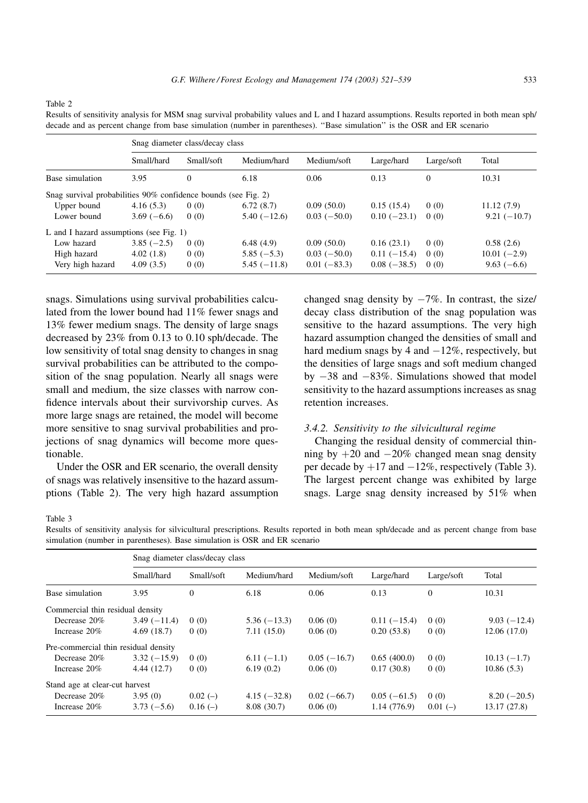Table 2

Results of sensitivity analysis for MSM snag survival probability values and L and I hazard assumptions. Results reported in both mean sph/ decade and as percent change from base simulation (number in parentheses). ''Base simulation'' is the OSR and ER scenario

|                                                                | Snag diameter class/decay class |            |               |               |               |            |               |  |
|----------------------------------------------------------------|---------------------------------|------------|---------------|---------------|---------------|------------|---------------|--|
|                                                                | Small/hard                      | Small/soft | Medium/hard   | Medium/soft   | Large/hard    | Large/soft | Total         |  |
| Base simulation                                                | 3.95                            | $\Omega$   | 6.18          | 0.06          | 0.13          | $\Omega$   | 10.31         |  |
| Snag survival probabilities 90% confidence bounds (see Fig. 2) |                                 |            |               |               |               |            |               |  |
| Upper bound                                                    | 4.16(5.3)                       | 0(0)       | 6.72(8.7)     | 0.09(50.0)    | 0.15(15.4)    | 0(0)       | 11.12(7.9)    |  |
| Lower bound                                                    | $3.69(-6.6)$                    | 0(0)       | $5.40(-12.6)$ | $0.03(-50.0)$ | $0.10(-23.1)$ | 0(0)       | $9.21(-10.7)$ |  |
| L and I hazard assumptions (see Fig. 1)                        |                                 |            |               |               |               |            |               |  |
| Low hazard                                                     | $3.85(-2.5)$                    | 0(0)       | 6.48(4.9)     | 0.09(50.0)    | 0.16(23.1)    | 0(0)       | 0.58(2.6)     |  |
| High hazard                                                    | 4.02(1.8)                       | 0(0)       | $5.85(-5.3)$  | $0.03(-50.0)$ | $0.11(-15.4)$ | 0(0)       | $10.01(-2.9)$ |  |
| Very high hazard                                               | 4.09(3.5)                       | 0(0)       | $5.45(-11.8)$ | $0.01(-83.3)$ | $0.08(-38.5)$ | 0(0)       | $9.63(-6.6)$  |  |

snags. Simulations using survival probabilities calculated from the lower bound had 11% fewer snags and 13% fewer medium snags. The density of large snags decreased by 23% from 0.13 to 0.10 sph/decade. The low sensitivity of total snag density to changes in snag survival probabilities can be attributed to the composition of the snag population. Nearly all snags were small and medium, the size classes with narrow confidence intervals about their survivorship curves. As more large snags are retained, the model will become more sensitive to snag survival probabilities and projections of snag dynamics will become more questionable.

Under the OSR and ER scenario, the overall density of snags was relatively insensitive to the hazard assumptions (Table 2). The very high hazard assumption changed snag density by  $-7\%$ . In contrast, the size/ decay class distribution of the snag population was sensitive to the hazard assumptions. The very high hazard assumption changed the densities of small and hard medium snags by 4 and  $-12\%$ , respectively, but the densities of large snags and soft medium changed by  $-38$  and  $-83\%$ . Simulations showed that model sensitivity to the hazard assumptions increases as snag retention increases.

#### 3.4.2. Sensitivity to the silvicultural regime

Changing the residual density of commercial thinning by  $+20$  and  $-20\%$  changed mean snag density per decade by  $+17$  and  $-12\%$ , respectively (Table 3). The largest percent change was exhibited by large snags. Large snag density increased by 51% when

Table 3

Results of sensitivity analysis for silvicultural prescriptions. Results reported in both mean sph/decade and as percent change from base simulation (number in parentheses). Base simulation is OSR and ER scenario

|                                      | Snag diameter class/decay class |            |               |               |               |            |                |
|--------------------------------------|---------------------------------|------------|---------------|---------------|---------------|------------|----------------|
|                                      | Small/hard                      | Small/soft | Medium/hard   | Medium/soft   | Large/hard    | Large/soft | Total          |
| Base simulation                      | 3.95                            | $\Omega$   | 6.18          | 0.06          | 0.13          | $\Omega$   | 10.31          |
| Commercial thin residual density     |                                 |            |               |               |               |            |                |
| Decrease 20%                         | $3.49(-11.4)$                   | 0(0)       | $5.36(-13.3)$ | 0.06(0)       | $0.11(-15.4)$ | 0(0)       | $9.03(-12.4)$  |
| Increase 20%                         | 4.69(18.7)                      | 0(0)       | 7.11(15.0)    | 0.06(0)       | 0.20(53.8)    | 0(0)       | 12.06(17.0)    |
| Pre-commercial thin residual density |                                 |            |               |               |               |            |                |
| Decrease 20%                         | $3.32(-15.9)$                   | 0(0)       | $6.11(-1.1)$  | $0.05(-16.7)$ | 0.65(400.0)   | 0(0)       | $10.13(-1.7)$  |
| Increase 20%                         | 4.44(12.7)                      | 0(0)       | 6.19(0.2)     | 0.06(0)       | 0.17(30.8)    | 0(0)       | 10.86(5.3)     |
| Stand age at clear-cut harvest       |                                 |            |               |               |               |            |                |
| Decrease 20%                         | 3.95(0)                         | $0.02(-)$  | $4.15(-32.8)$ | $0.02(-66.7)$ | $0.05(-61.5)$ | 0(0)       | $8.20 (-20.5)$ |
| Increase 20%                         | $3.73(-5.6)$                    | $0.16(-)$  | 8.08 (30.7)   | 0.06(0)       | 1.14 (776.9)  | $0.01(-)$  | 13.17 (27.8)   |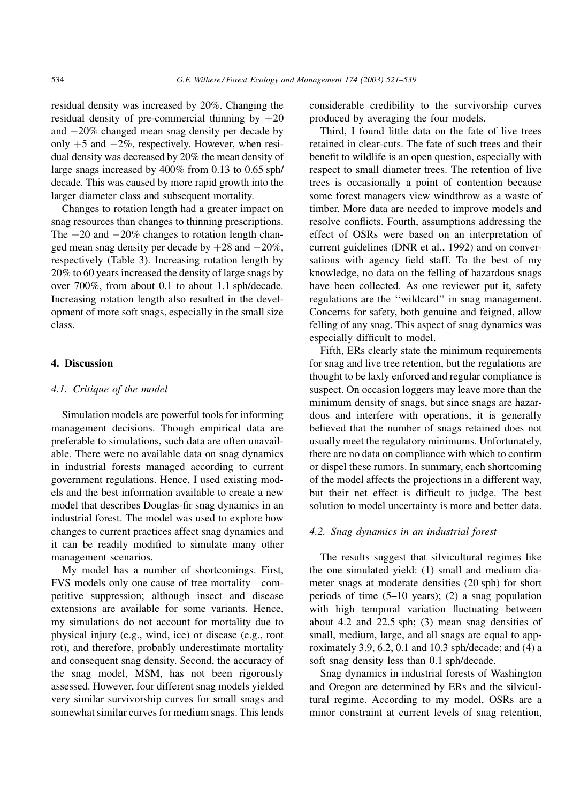residual density was increased by 20%. Changing the residual density of pre-commercial thinning by  $+20$ and  $-20\%$  changed mean snag density per decade by only  $+5$  and  $-2\%$ , respectively. However, when residual density was decreased by 20% the mean density of large snags increased by 400% from 0.13 to 0.65 sph/ decade. This was caused by more rapid growth into the larger diameter class and subsequent mortality.

Changes to rotation length had a greater impact on snag resources than changes to thinning prescriptions. The  $+20$  and  $-20\%$  changes to rotation length changed mean snag density per decade by  $+28$  and  $-20\%$ , respectively (Table 3). Increasing rotation length by 20% to 60 years increased the density of large snags by over 700%, from about 0.1 to about 1.1 sph/decade. Increasing rotation length also resulted in the development of more soft snags, especially in the small size class.

#### 4. Discussion

# 4.1. Critique of the model

Simulation models are powerful tools for informing management decisions. Though empirical data are preferable to simulations, such data are often unavailable. There were no available data on snag dynamics in industrial forests managed according to current government regulations. Hence, I used existing models and the best information available to create a new model that describes Douglas-fir snag dynamics in an industrial forest. The model was used to explore how changes to current practices affect snag dynamics and it can be readily modified to simulate many other management scenarios.

My model has a number of shortcomings. First, FVS models only one cause of tree mortality—competitive suppression; although insect and disease extensions are available for some variants. Hence, my simulations do not account for mortality due to physical injury (e.g., wind, ice) or disease (e.g., root rot), and therefore, probably underestimate mortality and consequent snag density. Second, the accuracy of the snag model, MSM, has not been rigorously assessed. However, four different snag models yielded very similar survivorship curves for small snags and somewhat similar curves for medium snags. This lends

considerable credibility to the survivorship curves produced by averaging the four models.

Third, I found little data on the fate of live trees retained in clear-cuts. The fate of such trees and their benefit to wildlife is an open question, especially with respect to small diameter trees. The retention of live trees is occasionally a point of contention because some forest managers view windthrow as a waste of timber. More data are needed to improve models and resolve conflicts. Fourth, assumptions addressing the effect of OSRs were based on an interpretation of current guidelines (DNR et al., 1992) and on conversations with agency field staff. To the best of my knowledge, no data on the felling of hazardous snags have been collected. As one reviewer put it, safety regulations are the ''wildcard'' in snag management. Concerns for safety, both genuine and feigned, allow felling of any snag. This aspect of snag dynamics was especially difficult to model.

Fifth, ERs clearly state the minimum requirements for snag and live tree retention, but the regulations are thought to be laxly enforced and regular compliance is suspect. On occasion loggers may leave more than the minimum density of snags, but since snags are hazardous and interfere with operations, it is generally believed that the number of snags retained does not usually meet the regulatory minimums. Unfortunately, there are no data on compliance with which to confirm or dispel these rumors. In summary, each shortcoming of the model affects the projections in a different way, but their net effect is difficult to judge. The best solution to model uncertainty is more and better data.

#### 4.2. Snag dynamics in an industrial forest

The results suggest that silvicultural regimes like the one simulated yield: (1) small and medium diameter snags at moderate densities (20 sph) for short periods of time (5–10 years); (2) a snag population with high temporal variation fluctuating between about 4.2 and 22.5 sph; (3) mean snag densities of small, medium, large, and all snags are equal to approximately 3.9, 6.2, 0.1 and 10.3 sph/decade; and (4) a soft snag density less than 0.1 sph/decade.

Snag dynamics in industrial forests of Washington and Oregon are determined by ERs and the silvicultural regime. According to my model, OSRs are a minor constraint at current levels of snag retention,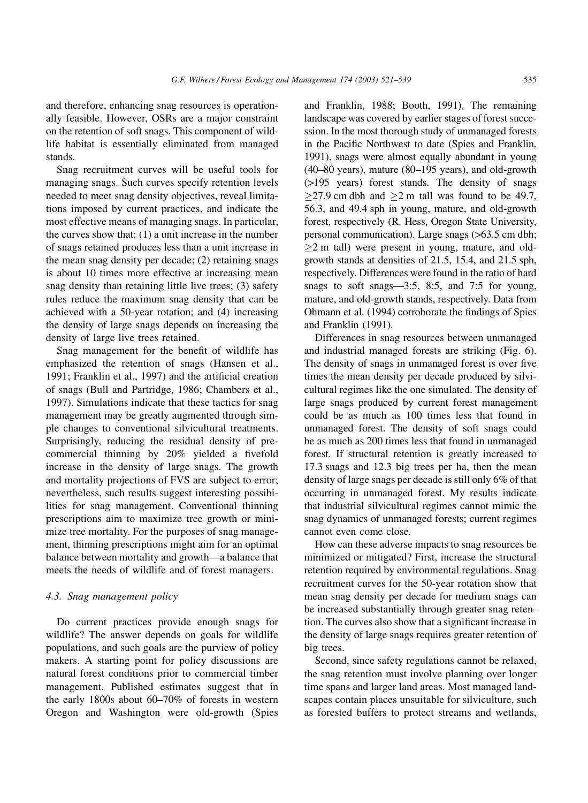and therefore, enhancing snag resources is operationally feasible. However, OSRs are a major constraint on the retention of soft snags. This component of wildlife habitat is essentially eliminated from managed stands.

Snag recruitment curves will be useful tools for managing snags. Such curves specify retention levels needed to meet snag density objectives, reveal limitations imposed by current practices, and indicate the most effective means of managing snags. In particular, the curves show that: (1) a unit increase in the number of snags retained produces less than a unit increase in the mean snag density per decade; (2) retaining snags is about 10 times more effective at increasing mean snag density than retaining little live trees; (3) safety rules reduce the maximum snag density that can be achieved with a 50-year rotation; and (4) increasing the density of large snags depends on increasing the density of large live trees retained.

Snag management for the benefit of wildlife has emphasized the retention of snags (Hansen et al., 1991; Franklin et al., 1997) and the artificial creation of snags (Bull and Partridge, 1986; Chambers et al., 1997). Simulations indicate that these tactics for snag management may be greatly augmented through simple changes to conventional silvicultural treatments. Surprisingly, reducing the residual density of precommercial thinning by 20% yielded a fivefold increase in the density of large snags. The growth and mortality projections of FVS are subject to error; nevertheless, such results suggest interesting possibilities for snag management. Conventional thinning prescriptions aim to maximize tree growth or minimize tree mortality. For the purposes of snag management, thinning prescriptions might aim for an optimal balance between mortality and growth—a balance that meets the needs of wildlife and of forest managers.

## 4.3. Snag management policy

Do current practices provide enough snags for wildlife? The answer depends on goals for wildlife populations, and such goals are the purview of policy makers. A starting point for policy discussions are natural forest conditions prior to commercial timber management. Published estimates suggest that in the early 1800s about 60–70% of forests in western Oregon and Washington were old-growth (Spies and Franklin, 1988; Booth, 1991). The remaining landscape was covered by earlier stages of forest succession. In the most thorough study of unmanaged forests in the Pacific Northwest to date (Spies and Franklin, 1991), snags were almost equally abundant in young (40–80 years), mature (80–195 years), and old-growth (>195 years) forest stands. The density of snags  $\geq$ 27.9 cm dbh and  $\geq$ 2 m tall was found to be 49.7, 56.3, and 49.4 sph in young, mature, and old-growth forest, respectively (R. Hess, Oregon State University, personal communication). Large snags (>63.5 cm dbh;  $\geq$ 2 m tall) were present in young, mature, and oldgrowth stands at densities of 21.5, 15.4, and 21.5 sph, respectively. Differences were found in the ratio of hard snags to soft snags—3:5, 8:5, and 7:5 for young, mature, and old-growth stands, respectively. Data from Ohmann et al. (1994) corroborate the findings of Spies and Franklin (1991).

Differences in snag resources between unmanaged and industrial managed forests are striking (Fig. 6). The density of snags in unmanaged forest is over five times the mean density per decade produced by silvicultural regimes like the one simulated. The density of large snags produced by current forest management could be as much as 100 times less that found in unmanaged forest. The density of soft snags could be as much as 200 times less that found in unmanaged forest. If structural retention is greatly increased to 17.3 snags and 12.3 big trees per ha, then the mean density of large snags per decade is still only 6% of that occurring in unmanaged forest. My results indicate that industrial silvicultural regimes cannot mimic the snag dynamics of unmanaged forests; current regimes cannot even come close.

How can these adverse impacts to snag resources be minimized or mitigated? First, increase the structural retention required by environmental regulations. Snag recruitment curves for the 50-year rotation show that mean snag density per decade for medium snags can be increased substantially through greater snag retention. The curves also show that a significant increase in the density of large snags requires greater retention of big trees.

Second, since safety regulations cannot be relaxed, the snag retention must involve planning over longer time spans and larger land areas. Most managed landscapes contain places unsuitable for silviculture, such as forested buffers to protect streams and wetlands,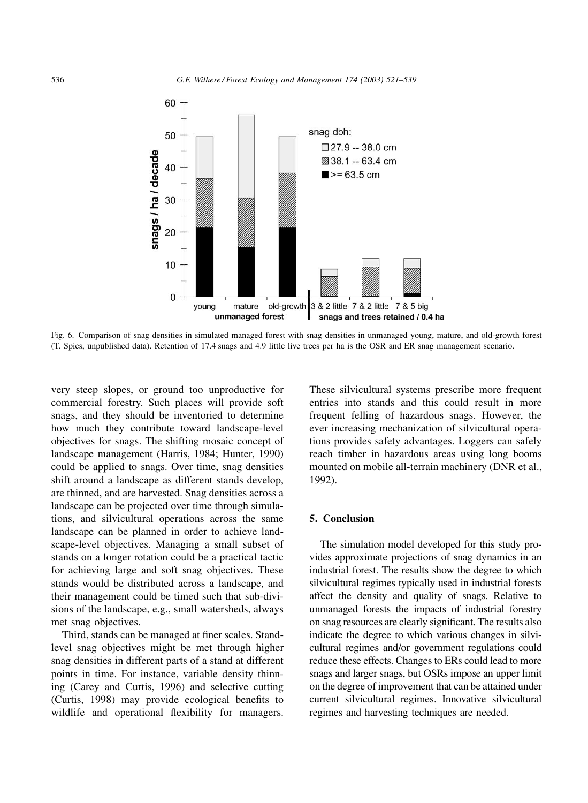

Fig. 6. Comparison of snag densities in simulated managed forest with snag densities in unmanaged young, mature, and old-growth forest (T. Spies, unpublished data). Retention of 17.4 snags and 4.9 little live trees per ha is the OSR and ER snag management scenario.

very steep slopes, or ground too unproductive for commercial forestry. Such places will provide soft snags, and they should be inventoried to determine how much they contribute toward landscape-level objectives for snags. The shifting mosaic concept of landscape management (Harris, 1984; Hunter, 1990) could be applied to snags. Over time, snag densities shift around a landscape as different stands develop, are thinned, and are harvested. Snag densities across a landscape can be projected over time through simulations, and silvicultural operations across the same landscape can be planned in order to achieve landscape-level objectives. Managing a small subset of stands on a longer rotation could be a practical tactic for achieving large and soft snag objectives. These stands would be distributed across a landscape, and their management could be timed such that sub-divisions of the landscape, e.g., small watersheds, always met snag objectives.

Third, stands can be managed at finer scales. Standlevel snag objectives might be met through higher snag densities in different parts of a stand at different points in time. For instance, variable density thinning (Carey and Curtis, 1996) and selective cutting (Curtis, 1998) may provide ecological benefits to wildlife and operational flexibility for managers. These silvicultural systems prescribe more frequent entries into stands and this could result in more frequent felling of hazardous snags. However, the ever increasing mechanization of silvicultural operations provides safety advantages. Loggers can safely reach timber in hazardous areas using long booms mounted on mobile all-terrain machinery (DNR et al., 1992).

#### 5. Conclusion

The simulation model developed for this study provides approximate projections of snag dynamics in an industrial forest. The results show the degree to which silvicultural regimes typically used in industrial forests affect the density and quality of snags. Relative to unmanaged forests the impacts of industrial forestry on snag resources are clearly significant. The results also indicate the degree to which various changes in silvicultural regimes and/or government regulations could reduce these effects. Changes to ERs could lead to more snags and larger snags, but OSRs impose an upper limit on the degree of improvement that can be attained under current silvicultural regimes. Innovative silvicultural regimes and harvesting techniques are needed.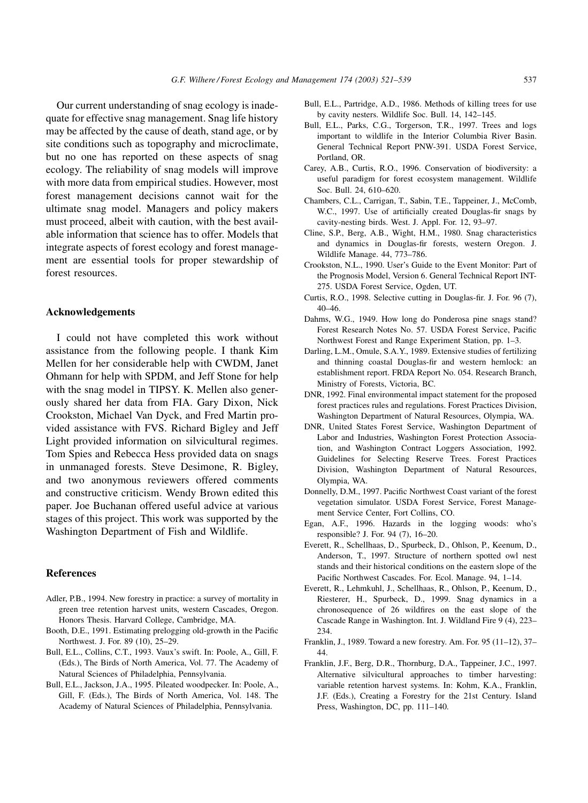Our current understanding of snag ecology is inadequate for effective snag management. Snag life history may be affected by the cause of death, stand age, or by site conditions such as topography and microclimate, but no one has reported on these aspects of snag ecology. The reliability of snag models will improve with more data from empirical studies. However, most forest management decisions cannot wait for the ultimate snag model. Managers and policy makers must proceed, albeit with caution, with the best available information that science has to offer. Models that integrate aspects of forest ecology and forest management are essential tools for proper stewardship of forest resources.

## Acknowledgements

I could not have completed this work without assistance from the following people. I thank Kim Mellen for her considerable help with CWDM, Janet Ohmann for help with SPDM, and Jeff Stone for help with the snag model in TIPSY. K. Mellen also generously shared her data from FIA. Gary Dixon, Nick Crookston, Michael Van Dyck, and Fred Martin provided assistance with FVS. Richard Bigley and Jeff Light provided information on silvicultural regimes. Tom Spies and Rebecca Hess provided data on snags in unmanaged forests. Steve Desimone, R. Bigley, and two anonymous reviewers offered comments and constructive criticism. Wendy Brown edited this paper. Joe Buchanan offered useful advice at various stages of this project. This work was supported by the Washington Department of Fish and Wildlife.

## References

- Adler, P.B., 1994. New forestry in practice: a survey of mortality in green tree retention harvest units, western Cascades, Oregon. Honors Thesis. Harvard College, Cambridge, MA.
- Booth, D.E., 1991. Estimating prelogging old-growth in the Pacific Northwest. J. For. 89 (10), 25–29.
- Bull, E.L., Collins, C.T., 1993. Vaux's swift. In: Poole, A., Gill, F. (Eds.), The Birds of North America, Vol. 77. The Academy of Natural Sciences of Philadelphia, Pennsylvania.
- Bull, E.L., Jackson, J.A., 1995. Pileated woodpecker. In: Poole, A., Gill, F. (Eds.), The Birds of North America, Vol. 148. The Academy of Natural Sciences of Philadelphia, Pennsylvania.
- Bull, E.L., Partridge, A.D., 1986. Methods of killing trees for use by cavity nesters. Wildlife Soc. Bull. 14, 142–145.
- Bull, E.L., Parks, C.G., Torgerson, T.R., 1997. Trees and logs important to wildlife in the Interior Columbia River Basin. General Technical Report PNW-391. USDA Forest Service, Portland, OR.
- Carey, A.B., Curtis, R.O., 1996. Conservation of biodiversity: a useful paradigm for forest ecosystem management. Wildlife Soc. Bull. 24, 610–620.
- Chambers, C.L., Carrigan, T., Sabin, T.E., Tappeiner, J., McComb, W.C., 1997. Use of artificially created Douglas-fir snags by cavity-nesting birds. West. J. Appl. For. 12, 93–97.
- Cline, S.P., Berg, A.B., Wight, H.M., 1980. Snag characteristics and dynamics in Douglas-fir forests, western Oregon. J. Wildlife Manage. 44, 773–786.
- Crookston, N.L., 1990. User's Guide to the Event Monitor: Part of the Prognosis Model, Version 6. General Technical Report INT-275. USDA Forest Service, Ogden, UT.
- Curtis, R.O., 1998. Selective cutting in Douglas-fir. J. For. 96 (7), 40–46.
- Dahms, W.G., 1949. How long do Ponderosa pine snags stand? Forest Research Notes No. 57. USDA Forest Service, Pacific Northwest Forest and Range Experiment Station, pp. 1–3.
- Darling, L.M., Omule, S.A.Y., 1989. Extensive studies of fertilizing and thinning coastal Douglas-fir and western hemlock: an establishment report. FRDA Report No. 054. Research Branch, Ministry of Forests, Victoria, BC.
- DNR, 1992. Final environmental impact statement for the proposed forest practices rules and regulations. Forest Practices Division, Washington Department of Natural Resources, Olympia, WA.
- DNR, United States Forest Service, Washington Department of Labor and Industries, Washington Forest Protection Association, and Washington Contract Loggers Association, 1992. Guidelines for Selecting Reserve Trees. Forest Practices Division, Washington Department of Natural Resources, Olympia, WA.
- Donnelly, D.M., 1997. Pacific Northwest Coast variant of the forest vegetation simulator. USDA Forest Service, Forest Management Service Center, Fort Collins, CO.
- Egan, A.F., 1996. Hazards in the logging woods: who's responsible? J. For. 94 (7), 16–20.
- Everett, R., Schellhaas, D., Spurbeck, D., Ohlson, P., Keenum, D., Anderson, T., 1997. Structure of northern spotted owl nest stands and their historical conditions on the eastern slope of the Pacific Northwest Cascades. For. Ecol. Manage. 94, 1–14.
- Everett, R., Lehmkuhl, J., Schellhaas, R., Ohlson, P., Keenum, D., Riesterer, H., Spurbeck, D., 1999. Snag dynamics in a chronosequence of 26 wildfires on the east slope of the Cascade Range in Washington. Int. J. Wildland Fire 9 (4), 223– 234.
- Franklin, J., 1989. Toward a new forestry. Am. For. 95 (11–12), 37– 44.
- Franklin, J.F., Berg, D.R., Thornburg, D.A., Tappeiner, J.C., 1997. Alternative silvicultural approaches to timber harvesting: variable retention harvest systems. In: Kohm, K.A., Franklin, J.F. (Eds.), Creating a Forestry for the 21st Century. Island Press, Washington, DC, pp. 111–140.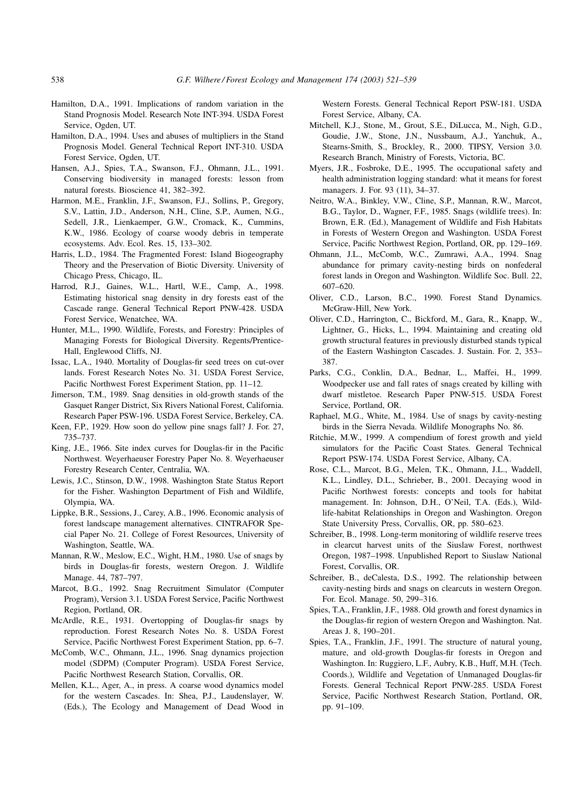- Hamilton, D.A., 1991. Implications of random variation in the Stand Prognosis Model. Research Note INT-394. USDA Forest Service, Ogden, UT.
- Hamilton, D.A., 1994. Uses and abuses of multipliers in the Stand Prognosis Model. General Technical Report INT-310. USDA Forest Service, Ogden, UT.
- Hansen, A.J., Spies, T.A., Swanson, F.J., Ohmann, J.L., 1991. Conserving biodiversity in managed forests: lesson from natural forests. Bioscience 41, 382–392.
- Harmon, M.E., Franklin, J.F., Swanson, F.J., Sollins, P., Gregory, S.V., Lattin, J.D., Anderson, N.H., Cline, S.P., Aumen, N.G., Sedell, J.R., Lienkaemper, G.W., Cromack, K., Cummins, K.W., 1986. Ecology of coarse woody debris in temperate ecosystems. Adv. Ecol. Res. 15, 133–302.
- Harris, L.D., 1984. The Fragmented Forest: Island Biogeography Theory and the Preservation of Biotic Diversity. University of Chicago Press, Chicago, IL.
- Harrod, R.J., Gaines, W.L., Hartl, W.E., Camp, A., 1998. Estimating historical snag density in dry forests east of the Cascade range. General Technical Report PNW-428. USDA Forest Service, Wenatchee, WA.
- Hunter, M.L., 1990. Wildlife, Forests, and Forestry: Principles of Managing Forests for Biological Diversity. Regents/Prentice-Hall, Englewood Cliffs, NJ.
- Issac, L.A., 1940. Mortality of Douglas-fir seed trees on cut-over lands. Forest Research Notes No. 31. USDA Forest Service, Pacific Northwest Forest Experiment Station, pp. 11–12.
- Jimerson, T.M., 1989. Snag densities in old-growth stands of the Gasquet Ranger District, Six Rivers National Forest, California. Research Paper PSW-196. USDA Forest Service, Berkeley, CA.
- Keen, F.P., 1929. How soon do yellow pine snags fall? J. For. 27, 735–737.
- King, J.E., 1966. Site index curves for Douglas-fir in the Pacific Northwest. Weyerhaeuser Forestry Paper No. 8. Weyerhaeuser Forestry Research Center, Centralia, WA.
- Lewis, J.C., Stinson, D.W., 1998. Washington State Status Report for the Fisher. Washington Department of Fish and Wildlife, Olympia, WA.
- Lippke, B.R., Sessions, J., Carey, A.B., 1996. Economic analysis of forest landscape management alternatives. CINTRAFOR Special Paper No. 21. College of Forest Resources, University of Washington, Seattle, WA.
- Mannan, R.W., Meslow, E.C., Wight, H.M., 1980. Use of snags by birds in Douglas-fir forests, western Oregon. J. Wildlife Manage. 44, 787–797.
- Marcot, B.G., 1992. Snag Recruitment Simulator (Computer Program), Version 3.1. USDA Forest Service, Pacific Northwest Region, Portland, OR.
- McArdle, R.E., 1931. Overtopping of Douglas-fir snags by reproduction. Forest Research Notes No. 8. USDA Forest Service, Pacific Northwest Forest Experiment Station, pp. 6–7.
- McComb, W.C., Ohmann, J.L., 1996. Snag dynamics projection model (SDPM) (Computer Program). USDA Forest Service, Pacific Northwest Research Station, Corvallis, OR.
- Mellen, K.L., Ager, A., in press. A coarse wood dynamics model for the western Cascades. In: Shea, P.J., Laudenslayer, W. (Eds.), The Ecology and Management of Dead Wood in

Western Forests. General Technical Report PSW-181. USDA Forest Service, Albany, CA.

- Mitchell, K.J., Stone, M., Grout, S.E., DiLucca, M., Nigh, G.D., Goudie, J.W., Stone, J.N., Nussbaum, A.J., Yanchuk, A., Stearns-Smith, S., Brockley, R., 2000. TIPSY, Version 3.0. Research Branch, Ministry of Forests, Victoria, BC.
- Myers, J.R., Fosbroke, D.E., 1995. The occupational safety and health administration logging standard: what it means for forest managers. J. For. 93 (11), 34–37.
- Neitro, W.A., Binkley, V.W., Cline, S.P., Mannan, R.W., Marcot, B.G., Taylor, D., Wagner, F.F., 1985. Snags (wildlife trees). In: Brown, E.R. (Ed.), Management of Wildlife and Fish Habitats in Forests of Western Oregon and Washington. USDA Forest Service, Pacific Northwest Region, Portland, OR, pp. 129–169.
- Ohmann, J.L., McComb, W.C., Zumrawi, A.A., 1994. Snag abundance for primary cavity-nesting birds on nonfederal forest lands in Oregon and Washington. Wildlife Soc. Bull. 22, 607–620.
- Oliver, C.D., Larson, B.C., 1990. Forest Stand Dynamics. McGraw-Hill, New York.
- Oliver, C.D., Harrington, C., Bickford, M., Gara, R., Knapp, W., Lightner, G., Hicks, L., 1994. Maintaining and creating old growth structural features in previously disturbed stands typical of the Eastern Washington Cascades. J. Sustain. For. 2, 353– 387.
- Parks, C.G., Conklin, D.A., Bednar, L., Maffei, H., 1999. Woodpecker use and fall rates of snags created by killing with dwarf mistletoe. Research Paper PNW-515. USDA Forest Service, Portland, OR.
- Raphael, M.G., White, M., 1984. Use of snags by cavity-nesting birds in the Sierra Nevada. Wildlife Monographs No. 86.
- Ritchie, M.W., 1999. A compendium of forest growth and yield simulators for the Pacific Coast States. General Technical Report PSW-174. USDA Forest Service, Albany, CA.
- Rose, C.L., Marcot, B.G., Melen, T.K., Ohmann, J.L., Waddell, K.L., Lindley, D.L., Schrieber, B., 2001. Decaying wood in Pacific Northwest forests: concepts and tools for habitat management. In: Johnson, D.H., O'Neil, T.A. (Eds.), Wildlife-habitat Relationships in Oregon and Washington. Oregon State University Press, Corvallis, OR, pp. 580–623.
- Schreiber, B., 1998. Long-term monitoring of wildlife reserve trees in clearcut harvest units of the Siuslaw Forest, northwest Oregon, 1987–1998. Unpublished Report to Siuslaw National Forest, Corvallis, OR.
- Schreiber, B., deCalesta, D.S., 1992. The relationship between cavity-nesting birds and snags on clearcuts in western Oregon. For. Ecol. Manage. 50, 299–316.
- Spies, T.A., Franklin, J.F., 1988. Old growth and forest dynamics in the Douglas-fir region of western Oregon and Washington. Nat. Areas J. 8, 190–201.
- Spies, T.A., Franklin, J.F., 1991. The structure of natural young, mature, and old-growth Douglas-fir forests in Oregon and Washington. In: Ruggiero, L.F., Aubry, K.B., Huff, M.H. (Tech. Coords.), Wildlife and Vegetation of Unmanaged Douglas-fir Forests. General Technical Report PNW-285. USDA Forest Service, Pacific Northwest Research Station, Portland, OR, pp. 91–109.